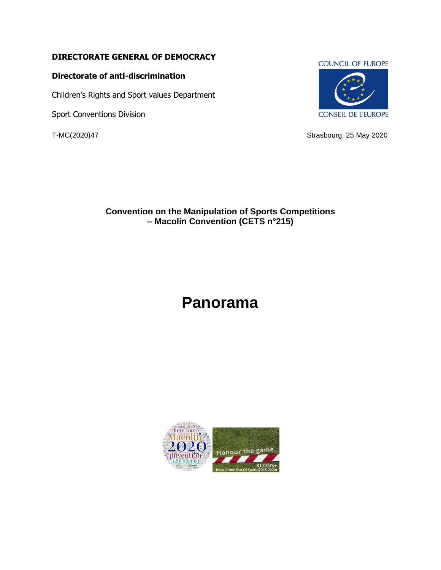### **DIRECTORATE GENERAL OF DEMOCRACY**

#### **Directorate of anti-discrimination**

Children's Rights and Sport values Department

Sport Conventions Division

#### **COUNCIL OF EUROPE**



T-MC(2020)47 Strasbourg, 25 May 2020

## **Convention on the Manipulation of Sports Competitions – Macolin Convention (CETS n°215)**

# **Panorama**

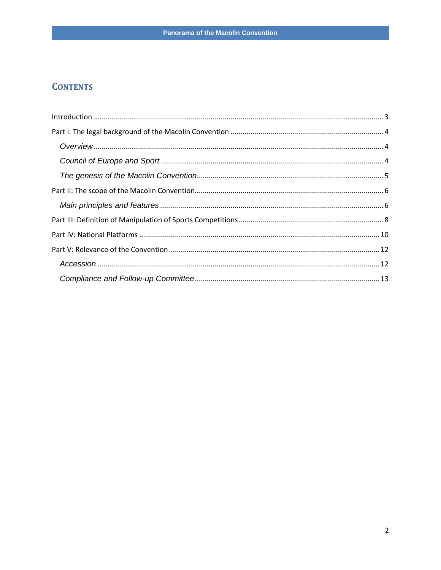# **CONTENTS**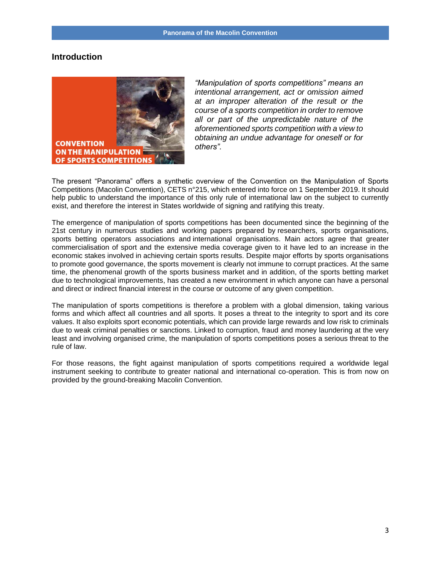#### <span id="page-2-0"></span>**Introduction**



*"Manipulation of sports competitions" means an intentional arrangement, act or omission aimed at an improper alteration of the result or the course of a sports competition in order to remove all or part of the unpredictable nature of the aforementioned sports competition with a view to obtaining an undue advantage for oneself or for others".*

The present "Panorama" offers a synthetic overview of the Convention on the Manipulation of Sports Competitions (Macolin Convention), CETS n°215, which entered into force on 1 September 2019. It should help public to understand the importance of this only rule of international law on the subject to currently exist, and therefore the interest in States worldwide of signing and ratifying this treaty.

The emergence of manipulation of sports competitions has been documented since the beginning of the 21st century in numerous studies and working papers prepared by researchers, sports organisations, sports betting operators associations and international organisations. Main actors agree that greater commercialisation of sport and the extensive media coverage given to it have led to an increase in the economic stakes involved in achieving certain sports results. Despite major efforts by sports organisations to promote good governance, the sports movement is clearly not immune to corrupt practices. At the same time, the phenomenal growth of the sports business market and in addition, of the sports betting market due to technological improvements, has created a new environment in which anyone can have a personal and direct or indirect financial interest in the course or outcome of any given competition.

The manipulation of sports competitions is therefore a problem with a global dimension, taking various forms and which affect all countries and all sports. It poses a threat to the integrity to sport and its core values. It also exploits sport economic potentials, which can provide large rewards and low risk to criminals due to weak criminal penalties or sanctions. Linked to corruption, fraud and money laundering at the very least and involving organised crime, the manipulation of sports competitions poses a serious threat to the rule of law.

For those reasons, the fight against manipulation of sports competitions required a worldwide legal instrument seeking to contribute to greater national and international co-operation. This is from now on provided by the ground-breaking Macolin Convention.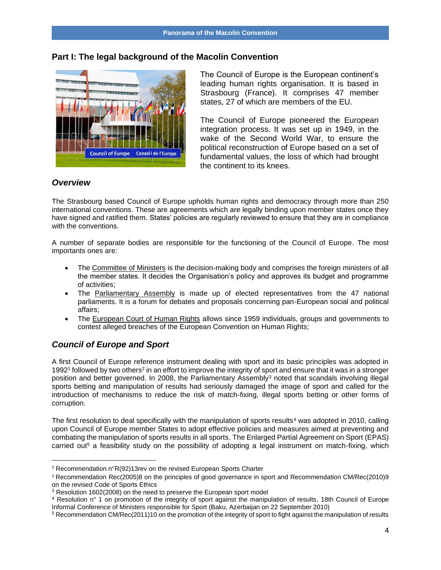#### <span id="page-3-0"></span>**Part I: The legal background of the Macolin Convention**



The Council of Europe is the European continent's leading human rights organisation. It is based in Strasbourg (France). It comprises 47 member states, 27 of which are members of the EU.

The Council of Europe pioneered the European integration process. It was set up in 1949, in the wake of the Second World War, to ensure the political reconstruction of Europe based on a set of fundamental values, the loss of which had brought the continent to its knees.

#### <span id="page-3-1"></span>*Overview*

The Strasbourg based Council of Europe upholds human rights and democracy through more than 250 international conventions. These are agreements which are legally binding upon member states once they have signed and ratified them. States' policies are regularly reviewed to ensure that they are in compliance with the conventions.

A number of separate bodies are responsible for the functioning of the Council of Europe. The most importants ones are:

- The Committee of Ministers is the decision-making body and comprises the foreign ministers of all the member states. It decides the Organisation's policy and approves its budget and programme of activities;
- The Parliamentary Assembly is made up of elected representatives from the 47 national parliaments. It is a forum for debates and proposals concerning pan-European social and political affairs;
- The European Court of Human Rights allows since 1959 individuals, groups and governments to contest alleged breaches of the European Convention on Human Rights;

#### <span id="page-3-2"></span>*Council of Europe and Sport*

A first Council of Europe reference instrument dealing with sport and its basic principles was adopted in 1992<sup>1</sup> followed by two others<sup>2</sup> in an effort to improve the integrity of sport and ensure that it was in a stronger position and better governed. In 2008, the Parliamentary Assembly<sup>3</sup> noted that scandals involving illegal sports betting and manipulation of results had seriously damaged the image of sport and called for the introduction of mechanisms to reduce the risk of match-fixing, illegal sports betting or other forms of corruption.

The first resolution to deal specifically with the manipulation of sports results<sup>4</sup> was adopted in 2010, calling upon Council of Europe member States to adopt effective policies and measures aimed at preventing and combating the manipulation of sports results in all sports. The Enlarged Partial Agreement on Sport (EPAS) carried out<sup>5</sup> a feasibility study on the possibility of adopting a legal instrument on match-fixing, which

<sup>&</sup>lt;sup>1</sup> Recommendation n°R(92)13rev on the revised European Sports Charter

<sup>2</sup> Recommendation Rec(2005)8 on the principles of good governance in sport and Recommendation CM/Rec(2010)9 on the revised Code of Sports Ethics

<sup>&</sup>lt;sup>3</sup> Resolution 1602(2008) on the need to preserve the European sport model

<sup>4</sup> Resolution n° 1 on promotion of the integrity of sport against the manipulation of results, 18th Council of Europe Informal Conference of Ministers responsible for Sport (Baku, Azerbaijan on 22 September 2010)

<sup>5</sup> Recommendation CM/Rec(2011)10 on the promotion of the integrity of sport to fight against the manipulation of results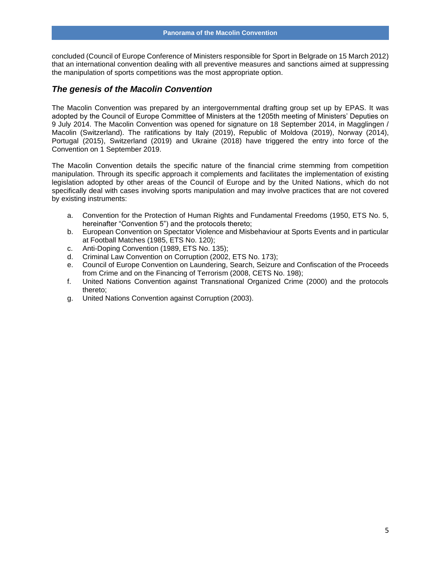concluded (Council of Europe Conference of Ministers responsible for Sport in Belgrade on 15 March 2012) that an international convention dealing with all preventive measures and sanctions aimed at suppressing the manipulation of sports competitions was the most appropriate option.

#### <span id="page-4-0"></span>*The genesis of the Macolin Convention*

The Macolin Convention was prepared by an intergovernmental drafting group set up by EPAS. It was adopted by the Council of Europe Committee of Ministers at the 1205th meeting of Ministers' Deputies on 9 July 2014. The Macolin Convention was opened for signature on 18 September 2014, in Magglingen / Macolin (Switzerland). The ratifications by Italy (2019), Republic of Moldova (2019), Norway (2014), Portugal (2015), Switzerland (2019) and Ukraine (2018) have triggered the entry into force of the Convention on 1 September 2019.

The Macolin Convention details the specific nature of the financial crime stemming from competition manipulation. Through its specific approach it complements and facilitates the implementation of existing legislation adopted by other areas of the Council of Europe and by the United Nations, which do not specifically deal with cases involving sports manipulation and may involve practices that are not covered by existing instruments:

- a. Convention for the Protection of Human Rights and Fundamental Freedoms (1950, ETS No. 5, hereinafter "Convention 5") and the protocols thereto;
- b. European Convention on Spectator Violence and Misbehaviour at Sports Events and in particular at Football Matches (1985, ETS No. 120);
- c. Anti-Doping Convention (1989, ETS No. 135);
- d. Criminal Law Convention on Corruption (2002, ETS No. 173);
- e. Council of Europe Convention on Laundering, Search, Seizure and Confiscation of the Proceeds from Crime and on the Financing of Terrorism (2008, CETS No. 198);
- f. United Nations Convention against Transnational Organized Crime (2000) and the protocols thereto;
- g. United Nations Convention against Corruption (2003).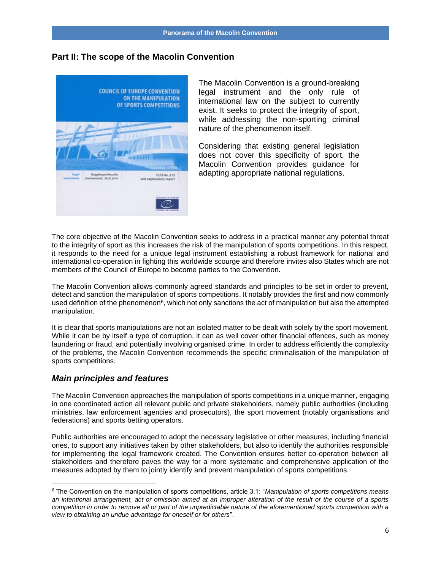#### <span id="page-5-0"></span>**Part II: The scope of the Macolin Convention**



The Macolin Convention is a ground-breaking legal instrument and the only rule of international law on the subject to currently exist. It seeks to protect the integrity of sport, while addressing the non-sporting criminal nature of the phenomenon itself.

Considering that existing general legislation does not cover this specificity of sport, the Macolin Convention provides guidance for adapting appropriate national regulations.

The core objective of the Macolin Convention seeks to address in a practical manner any potential threat to the integrity of sport as this increases the risk of the manipulation of sports competitions. In this respect, it responds to the need for a unique legal instrument establishing a robust framework for national and international co-operation in fighting this worldwide scourge and therefore invites also States which are not members of the Council of Europe to become parties to the Convention.

The Macolin Convention allows commonly agreed standards and principles to be set in order to prevent, detect and sanction the manipulation of sports competitions. It notably provides the first and now commonly used definition of the phenomenon<sup>6</sup>, which not only sanctions the act of manipulation but also the attempted manipulation.

It is clear that sports manipulations are not an isolated matter to be dealt with solely by the sport movement. While it can be by itself a type of corruption, it can as well cover other financial offences, such as money laundering or fraud, and potentially involving organised crime. In order to address efficiently the complexity of the problems, the Macolin Convention recommends the specific criminalisation of the manipulation of sports competitions.

#### <span id="page-5-1"></span>*Main principles and features*

The Macolin Convention approaches the manipulation of sports competitions in a unique manner, engaging in one coordinated action all relevant public and private stakeholders, namely public authorities (including ministries, law enforcement agencies and prosecutors), the sport movement (notably organisations and federations) and sports betting operators.

Public authorities are encouraged to adopt the necessary legislative or other measures, including financial ones, to support any initiatives taken by other stakeholders, but also to identify the authorities responsible for implementing the legal framework created. The Convention ensures better co-operation between all stakeholders and therefore paves the way for a more systematic and comprehensive application of the measures adopted by them to jointly identify and prevent manipulation of sports competitions.

<sup>6</sup> The Convention on the manipulation of sports competitions, article 3.1: "*Manipulation of sports competitions means an intentional arrangement, act or omission aimed at an improper alteration of the result or the course of a sports competition in order to remove all or part of the unpredictable nature of the aforementioned sports competition with a view to obtaining an undue advantage for oneself or for others*".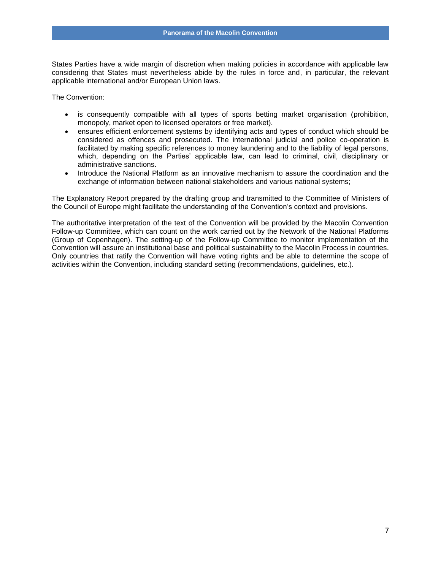States Parties have a wide margin of discretion when making policies in accordance with applicable law considering that States must nevertheless abide by the rules in force and, in particular, the relevant applicable international and/or European Union laws.

The Convention:

- is consequently compatible with all types of sports betting market organisation (prohibition, monopoly, market open to licensed operators or free market).
- ensures efficient enforcement systems by identifying acts and types of conduct which should be considered as offences and prosecuted. The international judicial and police co-operation is facilitated by making specific references to money laundering and to the liability of legal persons, which, depending on the Parties' applicable law, can lead to criminal, civil, disciplinary or administrative sanctions.
- Introduce the National Platform as an innovative mechanism to assure the coordination and the exchange of information between national stakeholders and various national systems;

The Explanatory Report prepared by the drafting group and transmitted to the Committee of Ministers of the Council of Europe might facilitate the understanding of the Convention's context and provisions.

The authoritative interpretation of the text of the Convention will be provided by the Macolin Convention Follow-up Committee, which can count on the work carried out by the Network of the National Platforms (Group of Copenhagen). The setting-up of the Follow-up Committee to monitor implementation of the Convention will assure an institutional base and political sustainability to the Macolin Process in countries. Only countries that ratify the Convention will have voting rights and be able to determine the scope of activities within the Convention, including standard setting (recommendations, guidelines, etc.).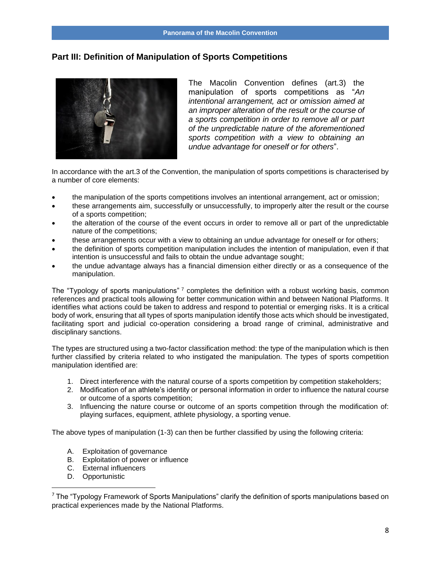#### <span id="page-7-0"></span>**Part III: Definition of Manipulation of Sports Competitions**



The Macolin Convention defines (art.3) the manipulation of sports competitions as "*An intentional arrangement, act or omission aimed at an improper alteration of the result or the course of a sports competition in order to remove all or part of the unpredictable nature of the aforementioned sports competition with a view to obtaining an undue advantage for oneself or for others*".

In accordance with the art.3 of the Convention, the manipulation of sports competitions is characterised by a number of core elements:

- the manipulation of the sports competitions involves an intentional arrangement, act or omission;
- these arrangements aim, successfully or unsuccessfully, to improperly alter the result or the course of a sports competition;
- the alteration of the course of the event occurs in order to remove all or part of the unpredictable nature of the competitions;
- these arrangements occur with a view to obtaining an undue advantage for oneself or for others;
- the definition of sports competition manipulation includes the intention of manipulation, even if that intention is unsuccessful and fails to obtain the undue advantage sought;
- the undue advantage always has a financial dimension either directly or as a consequence of the manipulation.

The "Typology of sports manipulations" <sup>7</sup> completes the definition with a robust working basis, common references and practical tools allowing for better communication within and between National Platforms. It identifies what actions could be taken to address and respond to potential or emerging risks. It is a critical body of work, ensuring that all types of sports manipulation identify those acts which should be investigated, facilitating sport and judicial co-operation considering a broad range of criminal, administrative and disciplinary sanctions.

The types are structured using a two-factor classification method: the type of the manipulation which is then further classified by criteria related to who instigated the manipulation. The types of sports competition manipulation identified are:

- 1. Direct interference with the natural course of a sports competition by competition stakeholders;
- 2. Modification of an athlete's identity or personal information in order to influence the natural course or outcome of a sports competition;
- 3. Influencing the nature course or outcome of an sports competition through the modification of: playing surfaces, equipment, athlete physiology, a sporting venue.

The above types of manipulation (1-3) can then be further classified by using the following criteria:

- A. Exploitation of governance
- B. Exploitation of power or influence
- C. External influencers
- D. Opportunistic

 $7$  The "Typology Framework of Sports Manipulations" clarify the definition of sports manipulations based on practical experiences made by the National Platforms.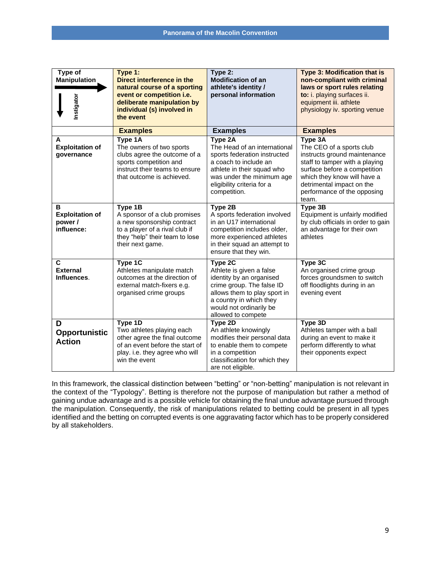| Type of<br><b>Manipulation</b><br>Instigator                                                                                                                                                                                                                                                                                                                                                                                                                                                                                                                                                     | Type 1:<br>Direct interference in the<br>natural course of a sporting<br>event or competition i.e.<br>deliberate manipulation by<br>individual (s) involved in<br>the event | Type 2:<br><b>Modification of an</b><br>athlete's identity /<br>personal information                                                                                                                      | Type 3: Modification that is<br>non-compliant with criminal<br>laws or sport rules relating<br>to: i. playing surfaces ii.<br>equipment iii. athlete<br>physiology iv. sporting venue                                                     |  |
|--------------------------------------------------------------------------------------------------------------------------------------------------------------------------------------------------------------------------------------------------------------------------------------------------------------------------------------------------------------------------------------------------------------------------------------------------------------------------------------------------------------------------------------------------------------------------------------------------|-----------------------------------------------------------------------------------------------------------------------------------------------------------------------------|-----------------------------------------------------------------------------------------------------------------------------------------------------------------------------------------------------------|-------------------------------------------------------------------------------------------------------------------------------------------------------------------------------------------------------------------------------------------|--|
|                                                                                                                                                                                                                                                                                                                                                                                                                                                                                                                                                                                                  | <b>Examples</b>                                                                                                                                                             | <b>Examples</b>                                                                                                                                                                                           | <b>Examples</b>                                                                                                                                                                                                                           |  |
| A<br><b>Exploitation of</b><br>governance                                                                                                                                                                                                                                                                                                                                                                                                                                                                                                                                                        | Type 1A<br>The owners of two sports<br>clubs agree the outcome of a<br>sports competition and<br>instruct their teams to ensure<br>that outcome is achieved.                | Type 2A<br>The Head of an international<br>sports federation instructed<br>a coach to include an<br>athlete in their squad who<br>was under the minimum age<br>eligibility criteria for a<br>competition. | Type 3A<br>The CEO of a sports club<br>instructs ground maintenance<br>staff to tamper with a playing<br>surface before a competition<br>which they know will have a<br>detrimental impact on the<br>performance of the opposing<br>team. |  |
| в<br><b>Exploitation of</b><br>power /<br>influence:                                                                                                                                                                                                                                                                                                                                                                                                                                                                                                                                             | Type $1B$<br>A sponsor of a club promises<br>a new sponsorship contract<br>to a player of a rival club if<br>they "help" their team to lose<br>their next game.             | Type 2B<br>A sports federation involved<br>in an U17 international<br>competition includes older,<br>more experienced athletes<br>in their squad an attempt to<br>ensure that they win.                   | Type 3B<br>Equipment is unfairly modified<br>by club officials in order to gain<br>an advantage for their own<br>athletes                                                                                                                 |  |
| C<br><b>External</b><br>Influences.                                                                                                                                                                                                                                                                                                                                                                                                                                                                                                                                                              | Type 1C<br>Athletes manipulate match<br>outcomes at the direction of<br>external match-fixers e.g.<br>organised crime groups                                                | Type 2C<br>Athlete is given a false<br>identity by an organised<br>crime group. The false ID<br>allows them to play sport in<br>a country in which they<br>would not ordinarily be<br>allowed to compete  | Type 3C<br>An organised crime group<br>forces groundsmen to switch<br>off floodlights during in an<br>evening event                                                                                                                       |  |
| D<br>Opportunistic<br><b>Action</b>                                                                                                                                                                                                                                                                                                                                                                                                                                                                                                                                                              | Type 1D<br>Two athletes playing each<br>other agree the final outcome<br>of an event before the start of<br>play. i.e. they agree who will<br>win the event                 | Type 2D<br>An athlete knowingly<br>modifies their personal data<br>to enable them to compete<br>in a competition<br>classification for which they<br>are not eligible.                                    | Type 3D<br>Athletes tamper with a ball<br>during an event to make it<br>perform differently to what<br>their opponents expect                                                                                                             |  |
| In this framework, the classical distinction between "betting" or "non-betting" manipulation is not relevant in<br>the context of the "Typology". Betting is therefore not the purpose of manipulation but rather a method of<br>gaining undue advantage and is a possible vehicle for obtaining the final undue advantage pursued through<br>the manipulation. Consequently, the risk of manipulations related to betting could be present in all types<br>identified and the betting on corrupted events is one aggravating factor which has to be properly considered<br>by all stakeholders. |                                                                                                                                                                             |                                                                                                                                                                                                           |                                                                                                                                                                                                                                           |  |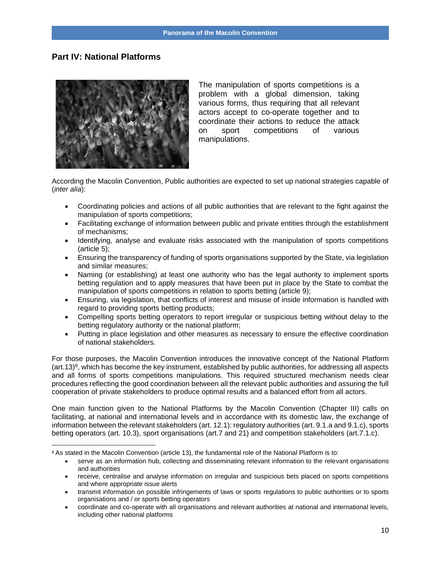#### <span id="page-9-0"></span>**Part IV: National Platforms**



The manipulation of sports competitions is a problem with a global dimension, taking various forms, thus requiring that all relevant actors accept to co-operate together and to coordinate their actions to reduce the attack on sport competitions of various manipulations.

According the Macolin Convention, Public authorities are expected to set up national strategies capable of (*inter alia*):

- Coordinating policies and actions of all public authorities that are relevant to the fight against the manipulation of sports competitions;
- Facilitating exchange of information between public and private entities through the establishment of mechanisms;
- Identifying, analyse and evaluate risks associated with the manipulation of sports competitions (article 5);
- Ensuring the transparency of funding of sports organisations supported by the State, via legislation and similar measures;
- Naming (or establishing) at least one authority who has the legal authority to implement sports betting regulation and to apply measures that have been put in place by the State to combat the manipulation of sports competitions in relation to sports betting (article 9);
- Ensuring, via legislation, that conflicts of interest and misuse of inside information is handled with regard to providing sports betting products;
- Compelling sports betting operators to report irregular or suspicious betting without delay to the betting regulatory authority or the national platform;
- Putting in place legislation and other measures as necessary to ensure the effective coordination of national stakeholders.

For those purposes, the Macolin Convention introduces the innovative concept of the National Platform  $(art.13)$ <sup>8</sup>, which has become the key instrument, established by public authorities, for addressing all aspects and all forms of sports competitions manipulations. This required structured mechanism needs clear procedures reflecting the good coordination between all the relevant public authorities and assuring the full cooperation of private stakeholders to produce optimal results and a balanced effort from all actors.

One main function given to the National Platforms by the Macolin Convention (Chapter III) calls on facilitating, at national and international levels and in accordance with its domestic law, the exchange of information between the relevant stakeholders (art. 12.1): regulatory authorities (art. 9.1.a and 9.1.c), sports betting operators (art. 10.3), sport organisations (art.7 and 21) and competition stakeholders (art.7.1.c).

<sup>8</sup> As stated in the Macolin Convention (article 13), the fundamental role of the National Platform is to:

<sup>•</sup> serve as an information hub, collecting and disseminating relevant information to the relevant organisations and authorities

<sup>•</sup> receive, centralise and analyse information on irregular and suspicious bets placed on sports competitions and where appropriate issue alerts

<sup>•</sup> transmit information on possible infringements of laws or sports regulations to public authorities or to sports organisations and / or sports betting operators

<sup>•</sup> coordinate and co-operate with all organisations and relevant authorities at national and international levels, including other national platforms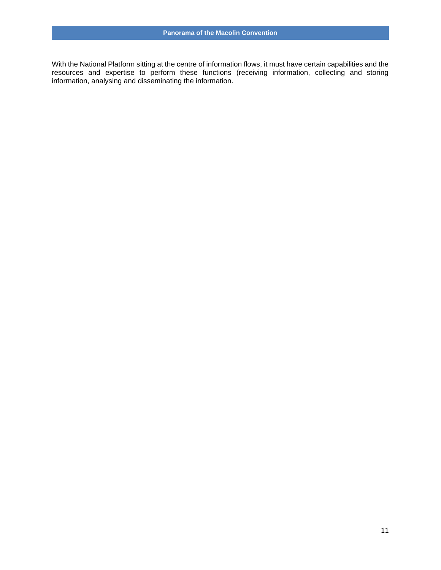With the National Platform sitting at the centre of information flows, it must have certain capabilities and the resources and expertise to perform these functions (receiving information, collecting and storing information, analysing and disseminating the information.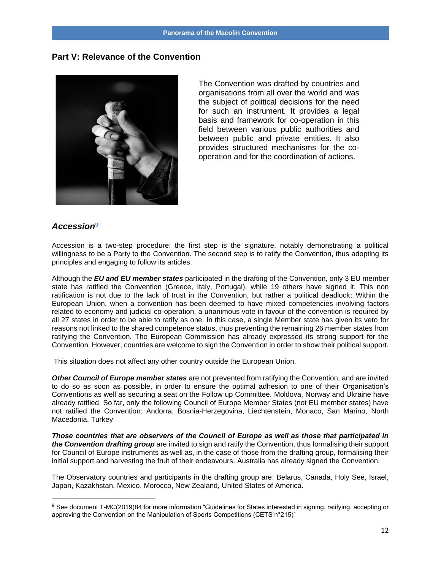#### <span id="page-11-0"></span>**Part V: Relevance of the Convention**



The Convention was drafted by countries and organisations from all over the world and was the subject of political decisions for the need for such an instrument. It provides a legal basis and framework for co-operation in this field between various public authorities and between public and private entities. It also provides structured mechanisms for the cooperation and for the coordination of actions.

#### <span id="page-11-1"></span>*Accession***9**

Accession is a two-step procedure: the first step is the signature, notably demonstrating a political willingness to be a Party to the Convention. The second step is to ratify the Convention, thus adopting its principles and engaging to follow its articles.

Although the *EU and EU member states* participated in the drafting of the Convention, only 3 EU member state has ratified the Convention (Greece, Italy, Portugal), while 19 others have signed it. This non ratification is not due to the lack of trust in the Convention, but rather a political deadlock: Within the European Union, when a convention has been deemed to have mixed competencies involving factors related to economy and judicial co-operation, a unanimous vote in favour of the convention is required by all 27 states in order to be able to ratify as one. In this case, a single Member state has given its veto for reasons not linked to the shared competence status, thus preventing the remaining 26 member states from ratifying the Convention. The European Commission has already expressed its strong support for the Convention. However, countries are welcome to sign the Convention in order to show their political support.

This situation does not affect any other country outside the European Union.

*Other Council of Europe member states* are not prevented from ratifying the Convention, and are invited to do so as soon as possible, in order to ensure the optimal adhesion to one of their Organisation's Conventions as well as securing a seat on the Follow up Committee. Moldova, Norway and Ukraine have already ratified. So far, only the following Council of Europe Member States (not EU member states) have not ratified the Convention: Andorra, Bosnia-Herzegovina, Liechtenstein, Monaco, San Marino, North Macedonia, Turkey

*Those countries that are observers of the Council of Europe as well as those that participated in the Convention drafting group* are invited to sign and ratify the Convention, thus formalising their support for Council of Europe instruments as well as, in the case of those from the drafting group, formalising their initial support and harvesting the fruit of their endeavours. Australia has already signed the Convention.

The Observatory countries and participants in the drafting group are: Belarus, Canada, Holy See, Israel, Japan, Kazakhstan, Mexico, Morocco, New Zealand, United States of America.

<sup>9</sup> See document T-MC(2019)84 for more information "Guidelines for States interested in signing, ratifying, accepting or approving the Convention on the Manipulation of Sports Competitions (CETS n°215)"